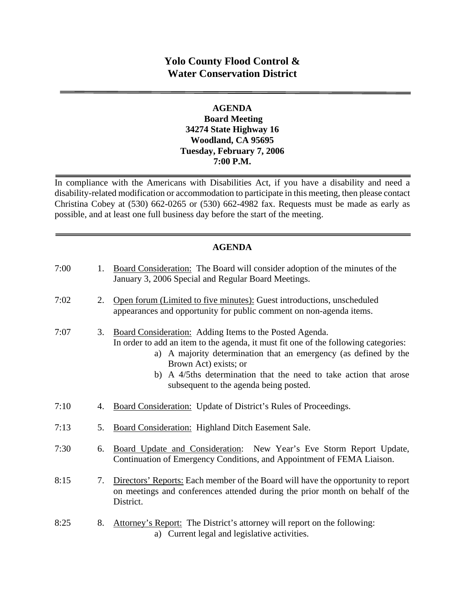# **Yolo County Flood Control & Water Conservation District**

### **AGENDA Board Meeting 34274 State Highway 16 Woodland, CA 95695 Tuesday, February 7, 2006 7:00 P.M.**

In compliance with the Americans with Disabilities Act, if you have a disability and need a disability-related modification or accommodation to participate in this meeting, then please contact Christina Cobey at (530) 662-0265 or (530) 662-4982 fax. Requests must be made as early as possible, and at least one full business day before the start of the meeting.

### **AGENDA**

| 7:00 | 1. | Board Consideration: The Board will consider adoption of the minutes of the<br>January 3, 2006 Special and Regular Board Meetings.                                                                                                                                                                                                                         |
|------|----|------------------------------------------------------------------------------------------------------------------------------------------------------------------------------------------------------------------------------------------------------------------------------------------------------------------------------------------------------------|
| 7:02 | 2. | Open forum (Limited to five minutes): Guest introductions, unscheduled<br>appearances and opportunity for public comment on non-agenda items.                                                                                                                                                                                                              |
| 7:07 | 3. | Board Consideration: Adding Items to the Posted Agenda.<br>In order to add an item to the agenda, it must fit one of the following categories:<br>a) A majority determination that an emergency (as defined by the<br>Brown Act) exists; or<br>b) A 4/5ths determination that the need to take action that arose<br>subsequent to the agenda being posted. |
| 7:10 | 4. | Board Consideration: Update of District's Rules of Proceedings.                                                                                                                                                                                                                                                                                            |
| 7:13 | 5. | <b>Board Consideration: Highland Ditch Easement Sale.</b>                                                                                                                                                                                                                                                                                                  |
| 7:30 | 6. | Board Update and Consideration: New Year's Eve Storm Report Update,<br>Continuation of Emergency Conditions, and Appointment of FEMA Liaison.                                                                                                                                                                                                              |
| 8:15 | 7. | Directors' Reports: Each member of the Board will have the opportunity to report<br>on meetings and conferences attended during the prior month on behalf of the<br>District.                                                                                                                                                                              |
| 8:25 | 8. | Attorney's Report: The District's attorney will report on the following:<br>a) Current legal and legislative activities.                                                                                                                                                                                                                                   |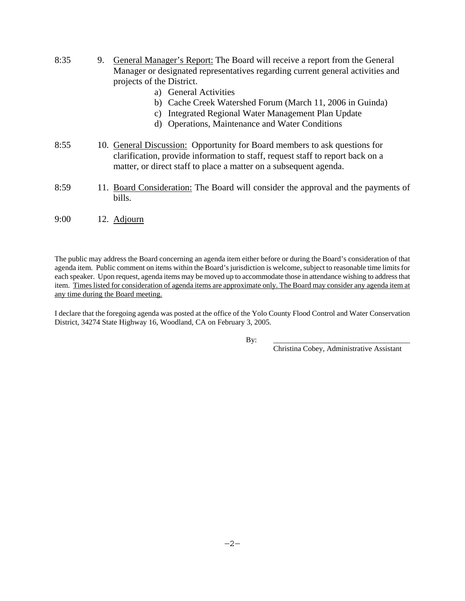- 8:35 9. General Manager's Report: The Board will receive a report from the General Manager or designated representatives regarding current general activities and projects of the District.
	- a) General Activities
	- b) Cache Creek Watershed Forum (March 11, 2006 in Guinda)
	- c) Integrated Regional Water Management Plan Update
	- d) Operations, Maintenance and Water Conditions
- 8:55 10. General Discussion: Opportunity for Board members to ask questions for clarification, provide information to staff, request staff to report back on a matter, or direct staff to place a matter on a subsequent agenda.
- 8:59 11. Board Consideration: The Board will consider the approval and the payments of bills.
- 9:00 12. Adjourn

The public may address the Board concerning an agenda item either before or during the Board's consideration of that agenda item. Public comment on items within the Board's jurisdiction is welcome, subject to reasonable time limits for each speaker. Upon request, agenda items may be moved up to accommodate those in attendance wishing to address that item. Times listed for consideration of agenda items are approximate only. The Board may consider any agenda item at any time during the Board meeting.

I declare that the foregoing agenda was posted at the office of the Yolo County Flood Control and Water Conservation District, 34274 State Highway 16, Woodland, CA on February 3, 2005.

By: \_\_\_\_\_\_\_\_\_\_\_\_\_\_\_\_\_\_\_\_\_\_\_\_\_\_\_\_\_\_\_\_\_\_\_\_\_

Christina Cobey, Administrative Assistant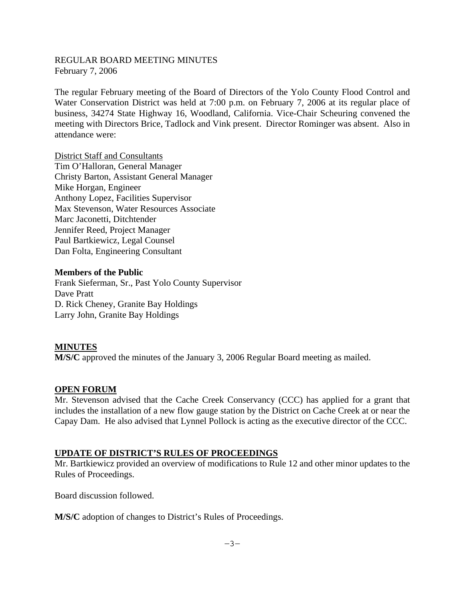REGULAR BOARD MEETING MINUTES February 7, 2006

The regular February meeting of the Board of Directors of the Yolo County Flood Control and Water Conservation District was held at 7:00 p.m. on February 7, 2006 at its regular place of business, 34274 State Highway 16, Woodland, California. Vice-Chair Scheuring convened the meeting with Directors Brice, Tadlock and Vink present. Director Rominger was absent. Also in attendance were:

District Staff and Consultants Tim O'Halloran, General Manager Christy Barton, Assistant General Manager Mike Horgan, Engineer Anthony Lopez, Facilities Supervisor Max Stevenson, Water Resources Associate Marc Jaconetti, Ditchtender Jennifer Reed, Project Manager Paul Bartkiewicz, Legal Counsel Dan Folta, Engineering Consultant

#### **Members of the Public**

Frank Sieferman, Sr., Past Yolo County Supervisor Dave Pratt D. Rick Cheney, Granite Bay Holdings Larry John, Granite Bay Holdings

#### **MINUTES**

**M/S/C** approved the minutes of the January 3, 2006 Regular Board meeting as mailed.

#### **OPEN FORUM**

Mr. Stevenson advised that the Cache Creek Conservancy (CCC) has applied for a grant that includes the installation of a new flow gauge station by the District on Cache Creek at or near the Capay Dam. He also advised that Lynnel Pollock is acting as the executive director of the CCC.

#### **UPDATE OF DISTRICT'S RULES OF PROCEEDINGS**

Mr. Bartkiewicz provided an overview of modifications to Rule 12 and other minor updates to the Rules of Proceedings.

Board discussion followed.

**M/S/C** adoption of changes to District's Rules of Proceedings.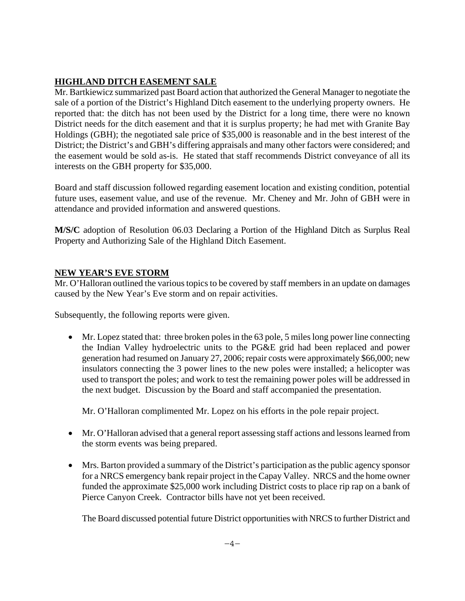## **HIGHLAND DITCH EASEMENT SALE**

Mr. Bartkiewicz summarized past Board action that authorized the General Manager to negotiate the sale of a portion of the District's Highland Ditch easement to the underlying property owners. He reported that: the ditch has not been used by the District for a long time, there were no known District needs for the ditch easement and that it is surplus property; he had met with Granite Bay Holdings (GBH); the negotiated sale price of \$35,000 is reasonable and in the best interest of the District; the District's and GBH's differing appraisals and many other factors were considered; and the easement would be sold as-is. He stated that staff recommends District conveyance of all its interests on the GBH property for \$35,000.

Board and staff discussion followed regarding easement location and existing condition, potential future uses, easement value, and use of the revenue. Mr. Cheney and Mr. John of GBH were in attendance and provided information and answered questions.

**M/S/C** adoption of Resolution 06.03 Declaring a Portion of the Highland Ditch as Surplus Real Property and Authorizing Sale of the Highland Ditch Easement.

## **NEW YEAR'S EVE STORM**

Mr. O'Halloran outlined the various topics to be covered by staff members in an update on damages caused by the New Year's Eve storm and on repair activities.

Subsequently, the following reports were given.

 Mr. Lopez stated that: three broken poles in the 63 pole, 5 miles long power line connecting the Indian Valley hydroelectric units to the PG&E grid had been replaced and power generation had resumed on January 27, 2006; repair costs were approximately \$66,000; new insulators connecting the 3 power lines to the new poles were installed; a helicopter was used to transport the poles; and work to test the remaining power poles will be addressed in the next budget. Discussion by the Board and staff accompanied the presentation.

Mr. O'Halloran complimented Mr. Lopez on his efforts in the pole repair project.

- Mr. O'Halloran advised that a general report assessing staff actions and lessons learned from the storm events was being prepared.
- Mrs. Barton provided a summary of the District's participation as the public agency sponsor for a NRCS emergency bank repair project in the Capay Valley. NRCS and the home owner funded the approximate \$25,000 work including District costs to place rip rap on a bank of Pierce Canyon Creek. Contractor bills have not yet been received.

The Board discussed potential future District opportunities with NRCS to further District and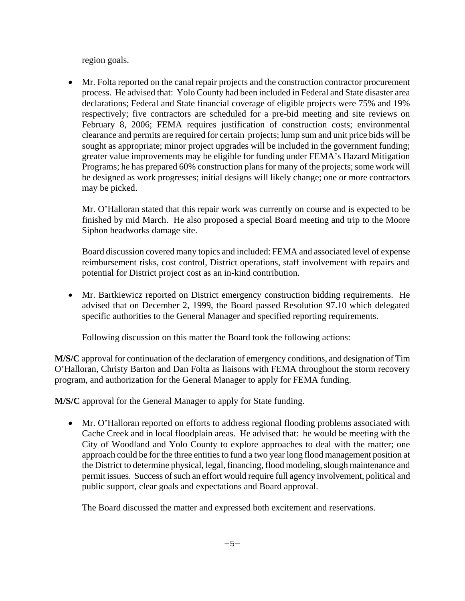region goals.

 Mr. Folta reported on the canal repair projects and the construction contractor procurement process. He advised that: Yolo County had been included in Federal and State disaster area declarations; Federal and State financial coverage of eligible projects were 75% and 19% respectively; five contractors are scheduled for a pre-bid meeting and site reviews on February 8, 2006; FEMA requires justification of construction costs; environmental clearance and permits are required for certain projects; lump sum and unit price bids will be sought as appropriate; minor project upgrades will be included in the government funding; greater value improvements may be eligible for funding under FEMA's Hazard Mitigation Programs; he has prepared 60% construction plans for many of the projects; some work will be designed as work progresses; initial designs will likely change; one or more contractors may be picked.

Mr. O'Halloran stated that this repair work was currently on course and is expected to be finished by mid March. He also proposed a special Board meeting and trip to the Moore Siphon headworks damage site.

Board discussion covered many topics and included: FEMA and associated level of expense reimbursement risks, cost control, District operations, staff involvement with repairs and potential for District project cost as an in-kind contribution.

 Mr. Bartkiewicz reported on District emergency construction bidding requirements. He advised that on December 2, 1999, the Board passed Resolution 97.10 which delegated specific authorities to the General Manager and specified reporting requirements.

Following discussion on this matter the Board took the following actions:

**M/S/C** approval for continuation of the declaration of emergency conditions, and designation of Tim O'Halloran, Christy Barton and Dan Folta as liaisons with FEMA throughout the storm recovery program, and authorization for the General Manager to apply for FEMA funding.

**M/S/C** approval for the General Manager to apply for State funding.

 Mr. O'Halloran reported on efforts to address regional flooding problems associated with Cache Creek and in local floodplain areas. He advised that: he would be meeting with the City of Woodland and Yolo County to explore approaches to deal with the matter; one approach could be for the three entities to fund a two year long flood management position at the District to determine physical, legal, financing, flood modeling, slough maintenance and permit issues. Success of such an effort would require full agency involvement, political and public support, clear goals and expectations and Board approval.

The Board discussed the matter and expressed both excitement and reservations.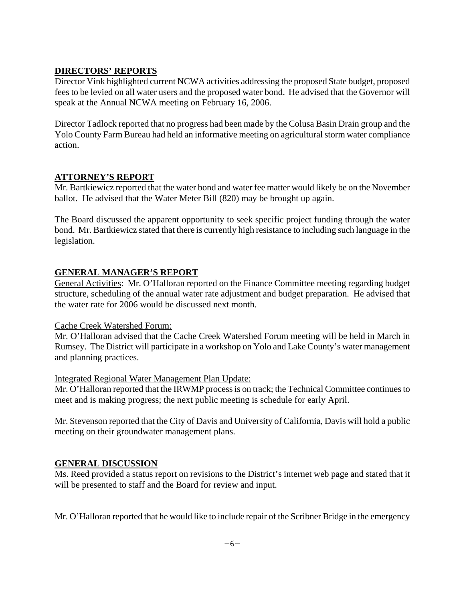### **DIRECTORS' REPORTS**

Director Vink highlighted current NCWA activities addressing the proposed State budget, proposed fees to be levied on all water users and the proposed water bond. He advised that the Governor will speak at the Annual NCWA meeting on February 16, 2006.

Director Tadlock reported that no progress had been made by the Colusa Basin Drain group and the Yolo County Farm Bureau had held an informative meeting on agricultural storm water compliance action.

### **ATTORNEY'S REPORT**

Mr. Bartkiewicz reported that the water bond and water fee matter would likely be on the November ballot. He advised that the Water Meter Bill (820) may be brought up again.

The Board discussed the apparent opportunity to seek specific project funding through the water bond. Mr. Bartkiewicz stated that there is currently high resistance to including such language in the legislation.

## **GENERAL MANAGER'S REPORT**

General Activities: Mr. O'Halloran reported on the Finance Committee meeting regarding budget structure, scheduling of the annual water rate adjustment and budget preparation. He advised that the water rate for 2006 would be discussed next month.

### Cache Creek Watershed Forum:

Mr. O'Halloran advised that the Cache Creek Watershed Forum meeting will be held in March in Rumsey. The District will participate in a workshop on Yolo and Lake County's water management and planning practices.

#### Integrated Regional Water Management Plan Update:

Mr. O'Halloran reported that the IRWMP process is on track; the Technical Committee continues to meet and is making progress; the next public meeting is schedule for early April.

Mr. Stevenson reported that the City of Davis and University of California, Davis will hold a public meeting on their groundwater management plans.

### **GENERAL DISCUSSION**

Ms. Reed provided a status report on revisions to the District's internet web page and stated that it will be presented to staff and the Board for review and input.

Mr. O'Halloran reported that he would like to include repair of the Scribner Bridge in the emergency